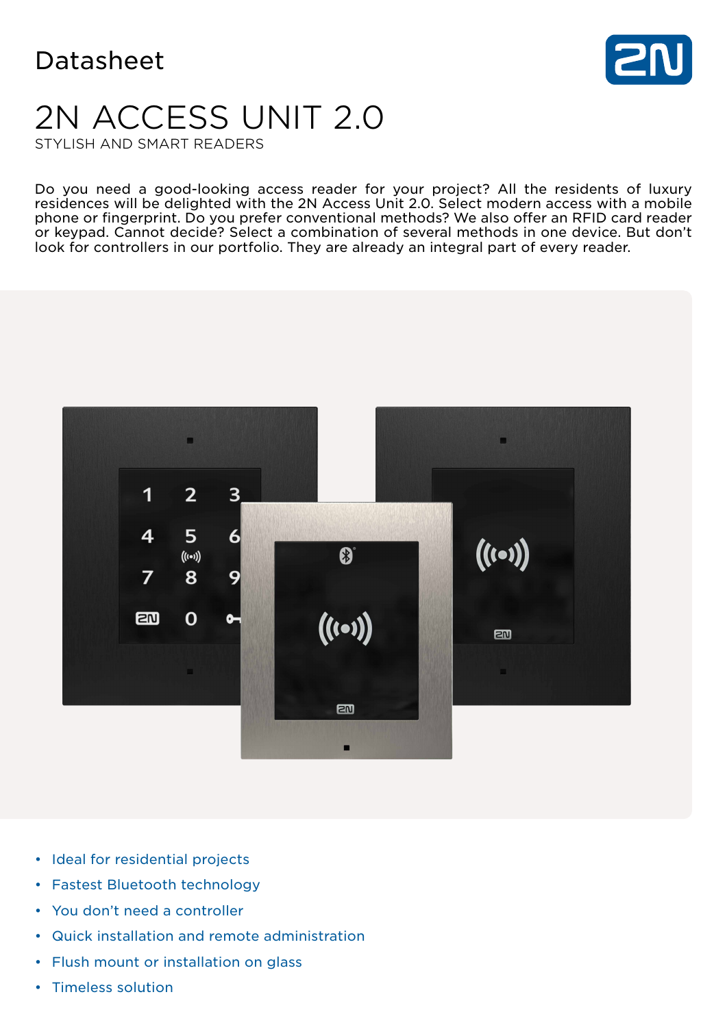

# 2N ACCESS UNIT 2.0

STYLISH AND SMART READERS

Do you need a good-looking access reader for your project? All the residents of luxury residences will be delighted with the 2N Access Unit 2.0. Select modern access with a mobile phone or fingerprint. Do you prefer conventional methods? We also offer an RFID card reader or keypad. Cannot decide? Select a combination of several methods in one device. But don't look for controllers in our portfolio. They are already an integral part of every reader.



- Ideal for residential projects
- Fastest Bluetooth technology
- You don't need a controller
- Quick installation and remote administration
- Flush mount or installation on glass
- Timeless solution